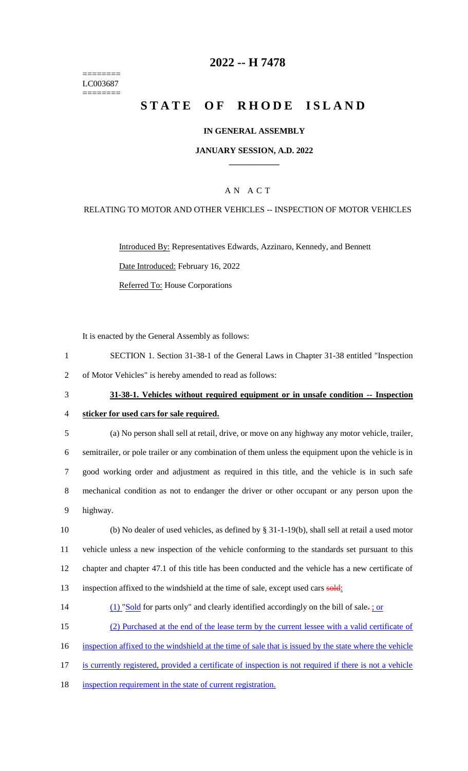======== LC003687 ========

## **2022 -- H 7478**

## **STATE OF RHODE ISLAND**

#### **IN GENERAL ASSEMBLY**

#### **JANUARY SESSION, A.D. 2022 \_\_\_\_\_\_\_\_\_\_\_\_**

## A N A C T

#### RELATING TO MOTOR AND OTHER VEHICLES -- INSPECTION OF MOTOR VEHICLES

Introduced By: Representatives Edwards, Azzinaro, Kennedy, and Bennett Date Introduced: February 16, 2022 Referred To: House Corporations

It is enacted by the General Assembly as follows:

- 1 SECTION 1. Section 31-38-1 of the General Laws in Chapter 31-38 entitled "Inspection 2 of Motor Vehicles" is hereby amended to read as follows:
- 

# 3 **31-38-1. Vehicles without required equipment or in unsafe condition -- Inspection**  4 **sticker for used cars for sale required.**

- 5 (a) No person shall sell at retail, drive, or move on any highway any motor vehicle, trailer, 6 semitrailer, or pole trailer or any combination of them unless the equipment upon the vehicle is in 7 good working order and adjustment as required in this title, and the vehicle is in such safe 8 mechanical condition as not to endanger the driver or other occupant or any person upon the 9 highway.
- 10 (b) No dealer of used vehicles, as defined by § 31-1-19(b), shall sell at retail a used motor 11 vehicle unless a new inspection of the vehicle conforming to the standards set pursuant to this 12 chapter and chapter 47.1 of this title has been conducted and the vehicle has a new certificate of 13 inspection affixed to the windshield at the time of sale, except used cars sold:
- 14 (1) "Sold for parts only" and clearly identified accordingly on the bill of sale- $\frac{1}{2}$  or
- 15 (2) Purchased at the end of the lease term by the current lessee with a valid certificate of
- 16 inspection affixed to the windshield at the time of sale that is issued by the state where the vehicle
- 17 is currently registered, provided a certificate of inspection is not required if there is not a vehicle
- 18 inspection requirement in the state of current registration.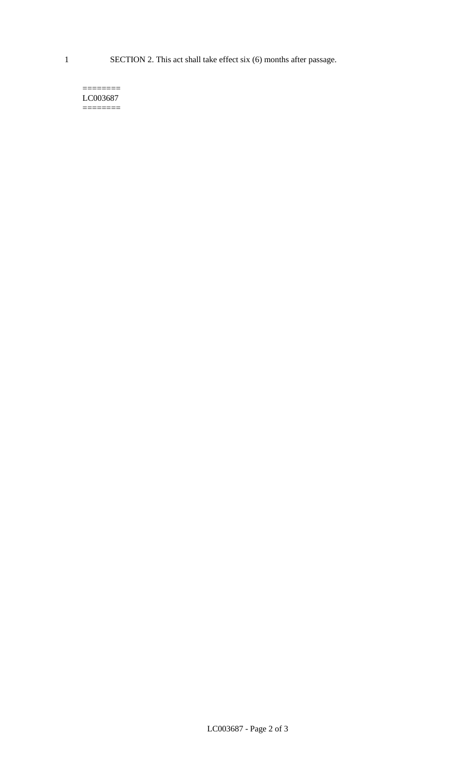1 SECTION 2. This act shall take effect six (6) months after passage.

#### $=$ LC003687 ========

LC003687 - Page 2 of 3